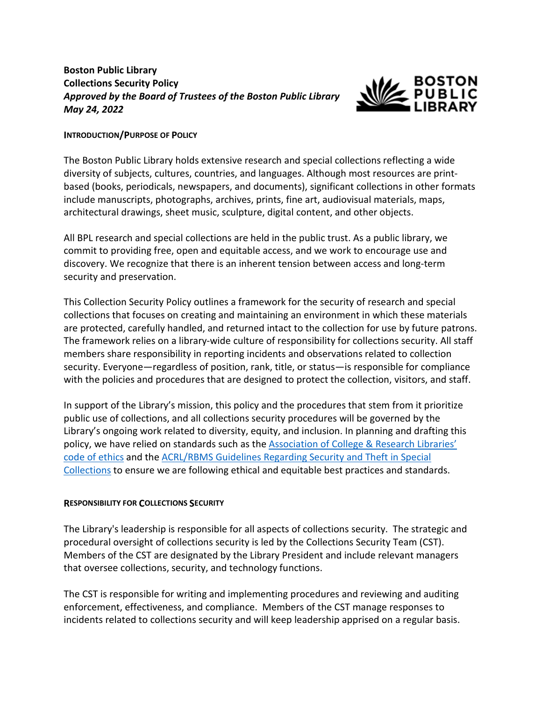# **Boston Public Library Collections Security Policy** *Approved by the Board of Trustees of the Boston Public Library May 24, 2022*



#### **INTRODUCTION/PURPOSE OF POLICY**

The Boston Public Library holds extensive research and special collections reflecting a wide diversity of subjects, cultures, countries, and languages. Although most resources are printbased (books, periodicals, newspapers, and documents), significant collections in other formats include manuscripts, photographs, archives, prints, fine art, audiovisual materials, maps, architectural drawings, sheet music, sculpture, digital content, and other objects.

All BPL research and special collections are held in the public trust. As a public library, we commit to providing free, open and equitable access, and we work to encourage use and discovery. We recognize that there is an inherent tension between access and long-term security and preservation.

This Collection Security Policy outlines a framework for the security of research and special collections that focuses on creating and maintaining an environment in which these materials are protected, carefully handled, and returned intact to the collection for use by future patrons. The framework relies on a library-wide culture of responsibility for collections security. All staff members share responsibility in reporting incidents and observations related to collection security. Everyone—regardless of position, rank, title, or status—is responsible for compliance with the policies and procedures that are designed to protect the collection, visitors, and staff.

In support of the Library's mission, this policy and the procedures that stem from it prioritize public use of collections, and all collections security procedures will be governed by the Library's ongoing work related to diversity, equity, and inclusion. In planning and drafting this policy, we have relied on standards such as the **Association of College & Research Libraries'** [code of ethics](https://rbms.info/standards/code_of_ethics/) and th[e ACRL/RBMS Guidelines Regarding Security and Theft in Special](https://www.ala.org/acrl/standards/security_theft) [Collections](https://www.ala.org/acrl/standards/security_theft) to ensure we are following ethical and equitable best practices and standards.

### **RESPONSIBILITY FOR COLLECTIONS SECURITY**

The Library's leadership is responsible for all aspects of collections security. The strategic and procedural oversight of collections security is led by the Collections Security Team (CST). Members of the CST are designated by the Library President and include relevant managers that oversee collections, security, and technology functions.

The CST is responsible for writing and implementing procedures and reviewing and auditing enforcement, effectiveness, and compliance. Members of the CST manage responses to incidents related to collections security and will keep leadership apprised on a regular basis.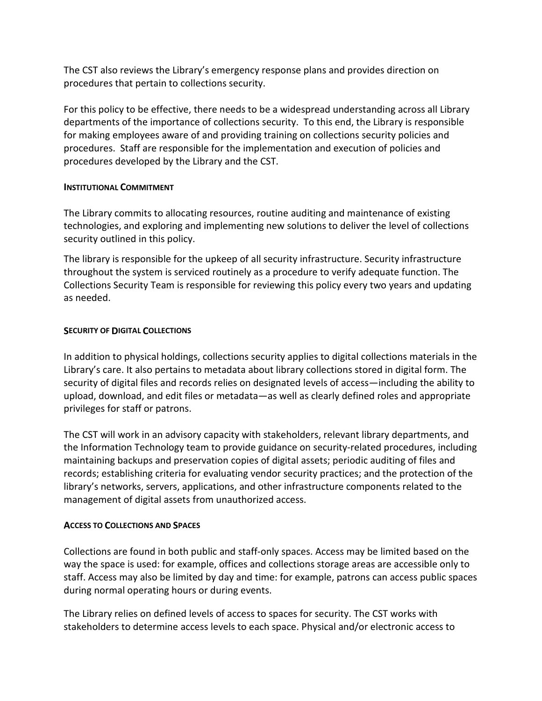The CST also reviews the Library's emergency response plans and provides direction on procedures that pertain to collections security.

For this policy to be effective, there needs to be a widespread understanding across all Library departments of the importance of collections security. To this end, the Library is responsible for making employees aware of and providing training on collections security policies and procedures. Staff are responsible for the implementation and execution of policies and procedures developed by the Library and the CST.

### **INSTITUTIONAL COMMITMENT**

The Library commits to allocating resources, routine auditing and maintenance of existing technologies, and exploring and implementing new solutions to deliver the level of collections security outlined in this policy.

The library is responsible for the upkeep of all security infrastructure. Security infrastructure throughout the system is serviced routinely as a procedure to verify adequate function. The Collections Security Team is responsible for reviewing this policy every two years and updating as needed.

## **SECURITY OF DIGITAL COLLECTIONS**

In addition to physical holdings, collections security applies to digital collections materials in the Library's care. It also pertains to metadata about library collections stored in digital form. The security of digital files and records relies on designated levels of access—including the ability to upload, download, and edit files or metadata—as well as clearly defined roles and appropriate privileges for staff or patrons.

The CST will work in an advisory capacity with stakeholders, relevant library departments, and the Information Technology team to provide guidance on security-related procedures, including maintaining backups and preservation copies of digital assets; periodic auditing of files and records; establishing criteria for evaluating vendor security practices; and the protection of the library's networks, servers, applications, and other infrastructure components related to the management of digital assets from unauthorized access.

### **ACCESS TO COLLECTIONS AND SPACES**

Collections are found in both public and staff-only spaces. Access may be limited based on the way the space is used: for example, offices and collections storage areas are accessible only to staff. Access may also be limited by day and time: for example, patrons can access public spaces during normal operating hours or during events.

The Library relies on defined levels of access to spaces for security. The CST works with stakeholders to determine access levels to each space. Physical and/or electronic access to